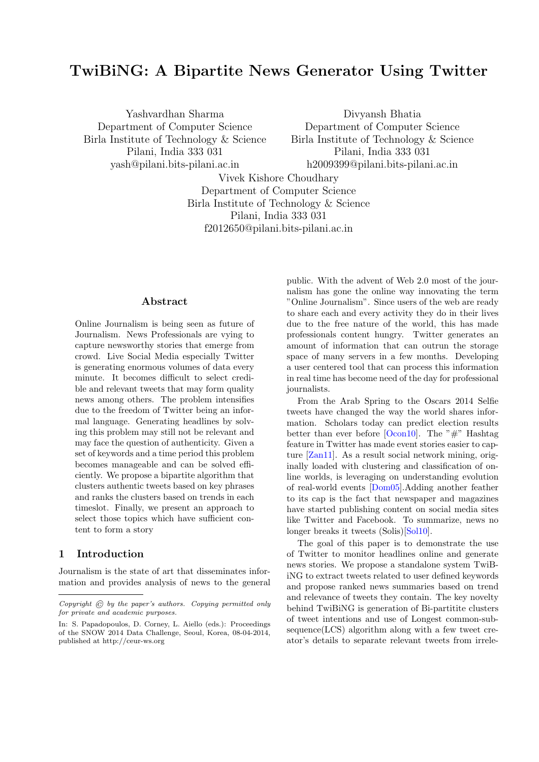# **TwiBiNG: A Bipartite News Generator Using Twitter**

Yashvardhan Sharma Department of Computer Science Birla Institute of Technology & Science Pilani, India 333 031 yash@pilani.bits-pilani.ac.in

Divyansh Bhatia Department of Computer Science Birla Institute of Technology & Science Pilani, India 333 031 h2009399@pilani.bits-pilani.ac.in

Vivek Kishore Choudhary Department of Computer Science Birla Institute of Technology & Science Pilani, India 333 031 f2012650@pilani.bits-pilani.ac.in

## **Abstract**

Online Journalism is being seen as future of Journalism. News Professionals are vying to capture newsworthy stories that emerge from crowd. Live Social Media especially Twitter is generating enormous volumes of data every minute. It becomes difficult to select credible and relevant tweets that may form quality news among others. The problem intensifies due to the freedom of Twitter being an informal language. Generating headlines by solving this problem may still not be relevant and may face the question of authenticity. Given a set of keywords and a time period this problem becomes manageable and can be solved efficiently. We propose a bipartite algorithm that clusters authentic tweets based on key phrases and ranks the clusters based on trends in each timeslot. Finally, we present an approach to select those topics which have sufficient content to form a story

# **1 Introduction**

Journalism is the state of art that disseminates information and provides analysis of news to the general public. With the advent of Web 2.0 most of the journalism has gone the online way innovating the term "Online Journalism". Since users of the web are ready to share each and every activity they do in their lives due to the free nature of the world, this has made professionals content hungry. Twitter generates an amount of information that can outrun the storage space of many servers in a few months. Developing a user centered tool that can process this information in real time has become need of the day for professional journalists.

From the Arab Spring to the Oscars 2014 Selfie tweets have changed the way the world shares information. Scholars today can predict election results better than ever before  $[Ocon10]$ . The "#" Hashtag feature in Twitter has made event stories easier to capture [Zan11]. As a result social network mining, originally loaded with clustering and classification of online worlds, is leveraging on understanding evolution of real-world events [Dom05].Adding another feather to its cap is the fact that newspaper and magazines have started publishing content on social media sites like Twitter and Facebook. To summarize, news no longer breaks it tweets (Solis)[Sol10].

The goal of this paper is to demonstrate the use of Twitter to monitor headlines online and generate news stories. We propose a standalone system TwiBiNG to extract tweets related to user defined keywords and propose ranked news summaries based on trend and relevance of tweets they contain. The key novelty behind TwiBiNG is generation of Bi-partitite clusters of tweet intentions and use of Longest common-sub $sequence(LCS)$  algorithm along with a few tweet creator's details to separate relevant tweets from irrele-

*Copyright* © *by the paper's authors. Copying permitted only for private and academic purposes.*

In: S. Papadopoulos, D. Corney, L. Aiello (eds.): Proceedings of the SNOW 2014 Data Challenge, Seoul, Korea, 08-04-2014, published at http://ceur-ws.org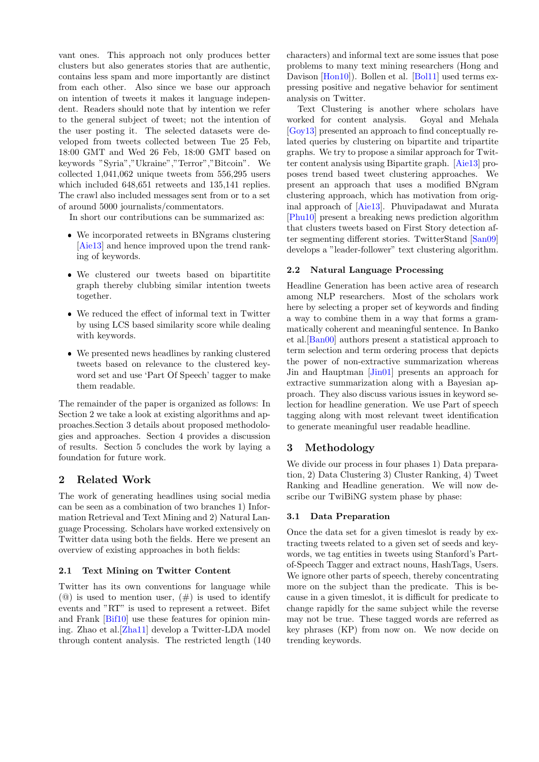vant ones. This approach not only produces better clusters but also generates stories that are authentic, contains less spam and more importantly are distinct from each other. Also since we base our approach on intention of tweets it makes it language independent. Readers should note that by intention we refer to the general subject of tweet; not the intention of the user posting it. The selected datasets were developed from tweets collected between Tue 25 Feb, 18:00 GMT and Wed 26 Feb, 18:00 GMT based on keywords "Syria","Ukraine","Terror","Bitcoin". We collected 1,041,062 unique tweets from 556,295 users which included 648,651 retweets and 135,141 replies. The crawl also included messages sent from or to a set of around 5000 journalists/commentators.

In short our contributions can be summarized as:

- We incorporated retweets in BNgrams clustering [Aie13] and hence improved upon the trend ranking of keywords.
- We clustered our tweets based on bipartitite graph thereby clubbing similar intention tweets together.
- We reduced the effect of informal text in Twitter by using LCS based similarity score while dealing with keywords.
- We presented news headlines by ranking clustered tweets based on relevance to the clustered keyword set and use 'Part Of Speech' tagger to make them readable.

The remainder of the paper is organized as follows: In Section 2 we take a look at existing algorithms and approaches.Section 3 details about proposed methodologies and approaches. Section 4 provides a discussion of results. Section 5 concludes the work by laying a foundation for future work.

# **2 Related Work**

The work of generating headlines using social media can be seen as a combination of two branches 1) Information Retrieval and Text Mining and 2) Natural Language Processing. Scholars have worked extensively on Twitter data using both the fields. Here we present an overview of existing approaches in both fields:

## **2.1 Text Mining on Twitter Content**

Twitter has its own conventions for language while  $(Q)$  is used to mention user,  $(\#)$  is used to identify events and "RT" is used to represent a retweet. Bifet and Frank [Bif10] use these features for opinion mining. Zhao et al.[Zha11] develop a Twitter-LDA model through content analysis. The restricted length (140

characters) and informal text are some issues that pose problems to many text mining researchers (Hong and Davison [Hon10]). Bollen et al. [Bol11] used terms expressing positive and negative behavior for sentiment analysis on Twitter.

Text Clustering is another where scholars have worked for content analysis. Goyal and Mehala [Goy13] presented an approach to find conceptually related queries by clustering on bipartite and tripartite graphs. We try to propose a similar approach for Twitter content analysis using Bipartite graph. [Aie13] proposes trend based tweet clustering approaches. We present an approach that uses a modified BNgram clustering approach, which has motivation from original approach of [Aie13]. Phuvipadawat and Murata [Phu10] present a breaking news prediction algorithm that clusters tweets based on First Story detection after segmenting different stories. TwitterStand [San09] develops a "leader-follower" text clustering algorithm.

## **2.2 Natural Language Processing**

Headline Generation has been active area of research among NLP researchers. Most of the scholars work here by selecting a proper set of keywords and finding a way to combine them in a way that forms a grammatically coherent and meaningful sentence. In Banko et al.[Ban00] authors present a statistical approach to term selection and term ordering process that depicts the power of non-extractive summarization whereas Jin and Hauptman [Jin01] presents an approach for extractive summarization along with a Bayesian approach. They also discuss various issues in keyword selection for headline generation. We use Part of speech tagging along with most relevant tweet identification to generate meaningful user readable headline.

# **3 Methodology**

We divide our process in four phases 1) Data preparation, 2) Data Clustering 3) Cluster Ranking, 4) Tweet Ranking and Headline generation. We will now describe our TwiBiNG system phase by phase:

#### **3.1 Data Preparation**

Once the data set for a given timeslot is ready by extracting tweets related to a given set of seeds and keywords, we tag entities in tweets using Stanford's Partof-Speech Tagger and extract nouns, HashTags, Users. We ignore other parts of speech, thereby concentrating more on the subject than the predicate. This is because in a given timeslot, it is difficult for predicate to change rapidly for the same subject while the reverse may not be true. These tagged words are referred as key phrases (KP) from now on. We now decide on trending keywords.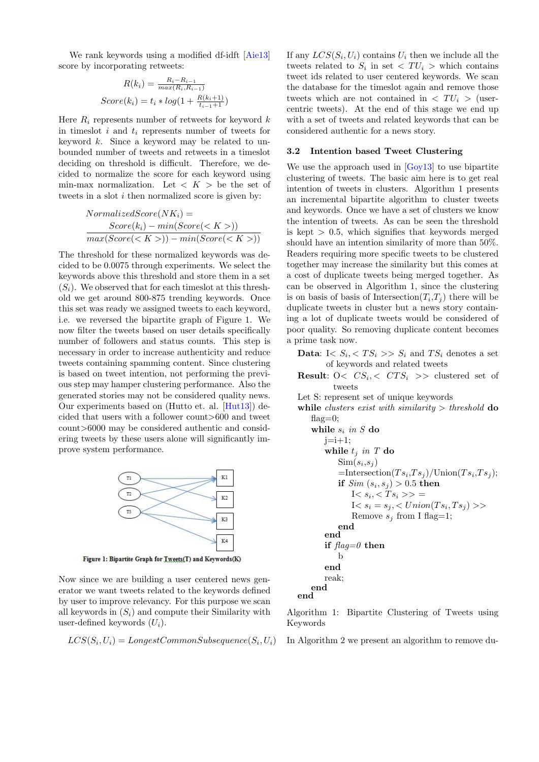We rank keywords using a modified df-idft [Aie13] score by incorporating retweets:

$$
R(k_i) = \frac{R_i - R_{i-1}}{\max(R_i, R_{i-1})}
$$

$$
Score(k_i) = t_i * log(1 + \frac{R(k_i+1)}{t_{i-1}+1})
$$

Here  $R_i$  represents number of retweets for keyword  $k$ in timeslot *i* and *t<sup>i</sup>* represents number of tweets for keyword *k*. Since a keyword may be related to unbounded number of tweets and retweets in a timeslot deciding on threshold is difficult. Therefore, we decided to normalize the score for each keyword using min-max normalization. Let  $K >$  be the set of tweets in a slot *i* then normalized score is given by:

$$
NormalizedScore(NK_i) =\n \frac{Score(k_i) - min(Score())}{max(Score()) - min(Score())}
$$

The threshold for these normalized keywords was decided to be 0.0075 through experiments. We select the keywords above this threshold and store them in a set  $(S_i)$ . We observed that for each timeslot at this threshold we get around 800-875 trending keywords. Once this set was ready we assigned tweets to each keyword, i.e. we reversed the bipartite graph of Figure 1. We now filter the tweets based on user details specifically number of followers and status counts. This step is necessary in order to increase authenticity and reduce tweets containing spamming content. Since clustering is based on tweet intention, not performing the previous step may hamper clustering performance. Also the generated stories may not be considered quality news. Our experiments based on (Hutto et. al. [Hut13]) decided that users with a follower count*>*600 and tweet count*>*6000 may be considered authentic and considering tweets by these users alone will significantly improve system performance.



Figure 1: Bipartite Graph for Tweets(T) and Keywords(K)

Now since we are building a user centered news generator we want tweets related to the keywords defined by user to improve relevancy. For this purpose we scan all keywords in (*Si*) and compute their Similarity with user-defined keywords (*Ui*).

$$
LCS(S_i, U_i) = LongestCommonSubsequence(S_i, U_i)
$$

If any  $LCS(S_i, U_i)$  contains  $U_i$  then we include all the tweets related to  $S_i$  in set  $\langle TU_i \rangle$  which contains tweet ids related to user centered keywords. We scan the database for the timeslot again and remove those tweets which are not contained in  $\langle TU_i \rangle$  (usercentric tweets). At the end of this stage we end up with a set of tweets and related keywords that can be considered authentic for a news story.

## **3.2 Intention based Tweet Clustering**

We use the approach used in  $[Goy13]$  to use bipartite clustering of tweets. The basic aim here is to get real intention of tweets in clusters. Algorithm 1 presents an incremental bipartite algorithm to cluster tweets and keywords. Once we have a set of clusters we know the intention of tweets. As can be seen the threshold is kept *>* 0.5, which signifies that keywords merged should have an intention similarity of more than 50%. Readers requiring more specific tweets to be clustered together may increase the similarity but this comes at a cost of duplicate tweets being merged together. As can be observed in Algorithm 1, since the clustering is on basis of basis of Intersection $(T_i, T_j)$  there will be duplicate tweets in cluster but a news story containing a lot of duplicate tweets would be considered of poor quality. So removing duplicate content becomes a prime task now.

**Data:** I<  $S_i$ , <  $TS_i$  >>  $S_i$  and  $TS_i$  denotes a set of keywords and related tweets

**Result**:  $0 \lt C S_i \lt C T S_i \gt \gt \text{clustered set of}$ tweets

Let S: represent set of unique keywords

**while** *clusters exist with similarity > threshold* **do** flag $=0$ ; **while** *s<sup>i</sup> in S* **do**  $j=i+1;$ **while** *t<sup>j</sup> in T* **do**  $\text{Sim}(s_i, s_j)$  $=\text{Intersection}(Ts_i, Ts_j)/\text{Union}(Ts_i, Ts_j);$  $\textbf{if} \enspace Sim\left(s_i,s_j\right) > 0.5 \textbf{ then}$  $I < s_i, < T s_i \gg \; =$  $I < s_i = s_j, \langle Union(Ts_i, Ts_j) \rangle$ Remove  $s_j$  from I flag=1; **end end if** *flag=0* **then** b **end** reak; **end end**

Algorithm 1: Bipartite Clustering of Tweets using Keywords

In Algorithm 2 we present an algorithm to remove du-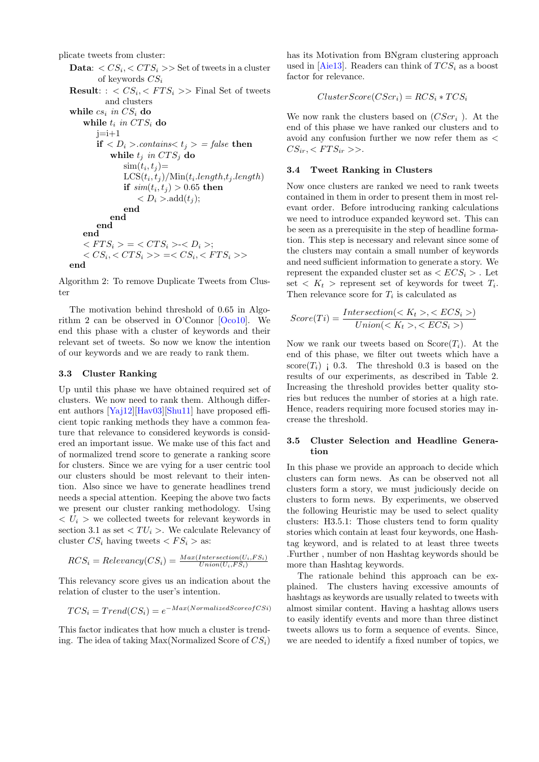plicate tweets from cluster:

**Data**:  $\langle CS_i, \langle CTS_i \rangle \rangle$  Set of tweets in a cluster of keywords *CS<sup>i</sup>* **Result**: :  $\langle CS_i, \langle FTS_i \rangle \rangle$  Final Set of tweets and clusters **while** *cs<sup>i</sup> in CS<sup>i</sup>* **do** while  $t_i$  *in*  $CTS_i$  do  $j=i+1$ **if**  $\langle D_i \rangle$ *.contains* $\langle t_i \rangle$  = *false* **then while**  $t_j$  *in*  $CTS_j$  **do**  $\text{sim}(t_i, t_j) =$  $\text{LCS}(t_i, t_j) / \text{Min}(t_i.length, t_j.length)$  $\textbf{if} \, \, \textit{sim}(t_i, t_j) > 0.65 \,\, \textbf{then}$  $\langle D_i \rangle$ -add $(t_j)$ ; **end end end end**  $\langle FTS_i \rangle = \langle CTS_i \rangle - \langle D_i \rangle;$  $\langle CS_i, \langle CTS_i \rangle \rangle = \langle CS_i, \langle FTS_i \rangle \rangle$ **end**

Algorithm 2: To remove Duplicate Tweets from Cluster

The motivation behind threshold of 0.65 in Algorithm 2 can be observed in O'Connor [Oco10]. We end this phase with a cluster of keywords and their relevant set of tweets. So now we know the intention of our keywords and we are ready to rank them.

#### **3.3 Cluster Ranking**

Up until this phase we have obtained required set of clusters. We now need to rank them. Although different authors [Yaj12][Hav03][Shu11] have proposed efficient topic ranking methods they have a common feature that relevance to considered keywords is considered an important issue. We make use of this fact and of normalized trend score to generate a ranking score for clusters. Since we are vying for a user centric tool our clusters should be most relevant to their intention. Also since we have to generate headlines trend needs a special attention. Keeping the above two facts we present our cluster ranking methodology. Using  $\langle U_i \rangle$  we collected tweets for relevant keywords in section 3.1 as set  $\langle TU_i \rangle$ . We calculate Relevancy of cluster  $CS_i$  having tweets  $\lt FS_i$  > as:

$$
RCS_i = Relevantcy(CS_i) = \frac{Max(Intersection(U_i, FS_i)}{Union(U_i, FS_i)}
$$

This relevancy score gives us an indication about the relation of cluster to the user's intention.

$$
TCS_i = Trend(CS_i) = e^{-Max(NormalizedScore of CSi)}
$$

This factor indicates that how much a cluster is trending. The idea of taking Max(Normalized Score of *CSi*) has its Motivation from BNgram clustering approach used in [Aie13]. Readers can think of *T CS<sup>i</sup>* as a boost factor for relevance.

$$
ClusterScore(CScr_i) = RCS_i * TCS_i
$$

We now rank the clusters based on (*CScr<sup>i</sup>* ). At the end of this phase we have ranked our clusters and to avoid any confusion further we now refer them as *<*  $CS_{ir}$ ,  $\lt$   $FTS_{ir}$  >>.

#### **3.4 Tweet Ranking in Clusters**

Now once clusters are ranked we need to rank tweets contained in them in order to present them in most relevant order. Before introducing ranking calculations we need to introduce expanded keyword set. This can be seen as a prerequisite in the step of headline formation. This step is necessary and relevant since some of the clusters may contain a small number of keywords and need sufficient information to generate a story. We represent the expanded cluster set as  $\langle ECS_i \rangle$ . Let set  $K_t$  > represent set of keywords for tweet  $T_i$ . Then relevance score for  $T_i$  is calculated as

$$
Score(Ti) = \frac{Intersection(, )}{Union(, )}
$$

Now we rank our tweets based on  $Score(T_i)$ . At the end of this phase, we filter out tweets which have a  $score(T_i)$  ; 0.3. The threshold 0.3 is based on the results of our experiments, as described in Table 2. Increasing the threshold provides better quality stories but reduces the number of stories at a high rate. Hence, readers requiring more focused stories may increase the threshold.

#### **3.5 Cluster Selection and Headline Generation**

In this phase we provide an approach to decide which clusters can form news. As can be observed not all clusters form a story, we must judiciously decide on clusters to form news. By experiments, we observed the following Heuristic may be used to select quality clusters: H3.5.1: Those clusters tend to form quality stories which contain at least four keywords, one Hashtag keyword, and is related to at least three tweets .Further , number of non Hashtag keywords should be more than Hashtag keywords.

The rationale behind this approach can be explained. The clusters having excessive amounts of hashtags as keywords are usually related to tweets with almost similar content. Having a hashtag allows users to easily identify events and more than three distinct tweets allows us to form a sequence of events. Since, we are needed to identify a fixed number of topics, we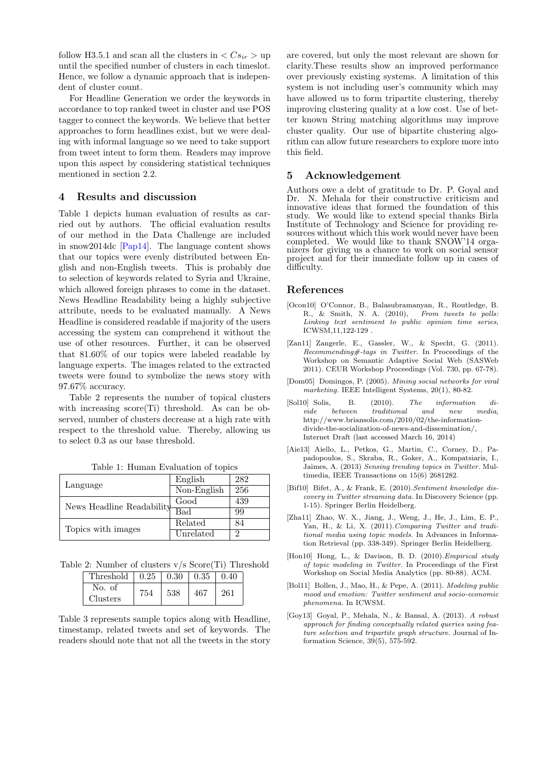follow H3.5.1 and scan all the clusters in  $\langle Cs_{ir} \rangle$  up until the specified number of clusters in each timeslot. Hence, we follow a dynamic approach that is independent of cluster count.

For Headline Generation we order the keywords in accordance to top ranked tweet in cluster and use POS tagger to connect the keywords. We believe that better approaches to form headlines exist, but we were dealing with informal language so we need to take support from tweet intent to form them. Readers may improve upon this aspect by considering statistical techniques mentioned in section 2.2.

# **4 Results and discussion**

Table 1 depicts human evaluation of results as carried out by authors. The official evaluation results of our method in the Data Challenge are included in snow2014dc [Pap14]. The language content shows that our topics were evenly distributed between English and non-English tweets. This is probably due to selection of keywords related to Syria and Ukraine, which allowed foreign phrases to come in the dataset. News Headline Readability being a highly subjective attribute, needs to be evaluated manually. A News Headline is considered readable if majority of the users accessing the system can comprehend it without the use of other resources. Further, it can be observed that 81.60% of our topics were labeled readable by language experts. The images related to the extracted tweets were found to symbolize the news story with 97.67% accuracy.

Table 2 represents the number of topical clusters with increasing score(Ti) threshold. As can be observed, number of clusters decrease at a high rate with respect to the threshold value. Thereby, allowing us to select 0.3 as our base threshold.

|                           | English     | 282 |
|---------------------------|-------------|-----|
| Language                  | Non-English | 256 |
| News Headline Readability | Good        | 439 |
|                           | Bad         | 99  |
| Topics with images        | Related     | 84  |
|                           | Unrelated   | ാ   |

Table 1: Human Evaluation of topics

Table 2: Number of clusters v/s Score(Ti) Threshold

| Threshold          | $\pm 0.25$ | $0.30\,$ | 0.35 | 0.40 |
|--------------------|------------|----------|------|------|
| No. of<br>Clusters |            | 538      |      | 261  |

Table 3 represents sample topics along with Headline, timestamp, related tweets and set of keywords. The readers should note that not all the tweets in the story

are covered, but only the most relevant are shown for clarity.These results show an improved performance over previously existing systems. A limitation of this system is not including user's community which may have allowed us to form tripartite clustering, thereby improving clustering quality at a low cost. Use of better known String matching algorithms may improve cluster quality. Our use of bipartite clustering algorithm can allow future researchers to explore more into this field.

### **5 Acknowledgement**

Authors owe a debt of gratitude to Dr. P. Goyal and Dr. N. Mehala for their constructive criticism and innovative ideas that formed the foundation of this study. We would like to extend special thanks Birla Institute of Technology and Science for providing resources without which this work would never have been completed. We would like to thank SNOW'14 organizers for giving us a chance to work on social sensor project and for their immediate follow up in cases of difficulty.

#### **References**

- [Ocon10] O'Connor, B., Balasubramanyan, R., Routledge, B. R., & Smith, N. A. (2010), *From tweets to polls: Linking text sentiment to public opinion time series*, ICWSM,11,122-129 .
- [Zan11] Zangerle, E., Gassler, W., & Specht, G. (2011). *Recommending#-tags in Twitter.* In Proceedings of the Workshop on Semantic Adaptive Social Web (SASWeb 2011). CEUR Workshop Proceedings (Vol. 730, pp. 67-78).
- [Dom05] Domingos, P. (2005). *Mining social networks for viral marketing.* IEEE Intelligent Systems, 20(1), 80-82.
- [Sol10] Solis, B. (2010). *The information divide between traditional and new media*, http://www.briansolis.com/2010/02/the-informationdivide-the-socialization-of-news-and-dissemination/, Internet Draft (last accessed March 16, 2014)
- [Aie13] Aiello, L., Petkos, G., Martin, C., Corney, D., Papadopoulos, S., Skraba, R., Goker, A., Kompatsiaris, I., Jaimes, A. (2013) *Sensing trending topics in Twitter.* Multimedia, IEEE Transactions on 15(6) 2681282.
- [Bif10] Bifet, A., & Frank, E. (2010).*Sentiment knowledge discovery in Twitter streaming data.* In Discovery Science (pp. 1-15). Springer Berlin Heidelberg.
- [Zha11] Zhao, W. X., Jiang, J., Weng, J., He, J., Lim, E. P., Yan, H., & Li, X. (2011).*Comparing Twitter and traditional media using topic models.* In Advances in Information Retrieval (pp. 338-349). Springer Berlin Heidelberg.
- [Hon10] Hong, L., & Davison, B. D. (2010).*Empirical study of topic modeling in Twitter.* In Proceedings of the First Workshop on Social Media Analytics (pp. 80-88). ACM.
- [Bol11] Bollen, J., Mao, H., & Pepe, A. (2011). *Modeling public mood and emotion: Twitter sentiment and socio-economic phenomena.* In ICWSM.
- [Goy13] Goyal, P., Mehala, N., & Bansal, A. (2013). *A robust approach for finding conceptually related queries using feature selection and tripartite graph structure.* Journal of Information Science, 39(5), 575-592.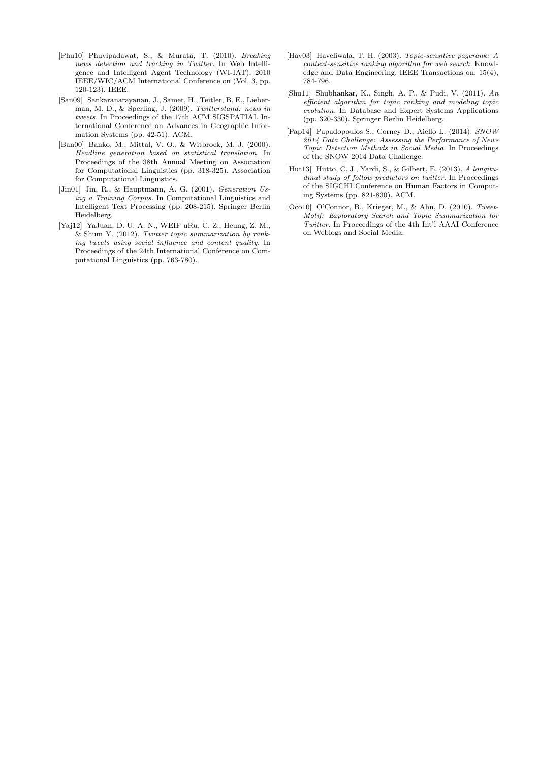- [Phu10] Phuvipadawat, S., & Murata, T. (2010). *Breaking news detection and tracking in Twitter.* In Web Intelligence and Intelligent Agent Technology (WI-IAT), 2010 IEEE/WIC/ACM International Conference on (Vol. 3, pp. 120-123). IEEE.
- [San09] Sankaranarayanan, J., Samet, H., Teitler, B. E., Lieberman, M. D., & Sperling, J. (2009). *Twitterstand: news in tweets.* In Proceedings of the 17th ACM SIGSPATIAL International Conference on Advances in Geographic Information Systems (pp. 42-51). ACM.
- [Ban00] Banko, M., Mittal, V. O., & Witbrock, M. J. (2000). *Headline generation based on statistical translation.* In Proceedings of the 38th Annual Meeting on Association for Computational Linguistics (pp. 318-325). Association for Computational Linguistics.
- [Jin01] Jin, R., & Hauptmann, A. G. (2001). *Generation Using a Training Corpus.* In Computational Linguistics and Intelligent Text Processing (pp. 208-215). Springer Berlin Heidelberg.
- [Yaj12] YaJuan, D. U. A. N., WEIF uRu, C. Z., Heung, Z. M., & Shum Y. (2012). *Twitter topic summarization by ranking tweets using social influence and content quality.* In Proceedings of the 24th International Conference on Computational Linguistics (pp. 763-780).
- [Hav03] Haveliwala, T. H. (2003). *Topic-sensitive pagerank: A context-sensitive ranking algorithm for web search.* Knowledge and Data Engineering, IEEE Transactions on, 15(4), 784-796.
- [Shu11] Shubhankar, K., Singh, A. P., & Pudi, V. (2011). *An efficient algorithm for topic ranking and modeling topic evolution.* In Database and Expert Systems Applications (pp. 320-330). Springer Berlin Heidelberg.
- [Pap14] Papadopoulos S., Corney D., Aiello L. (2014). *SNOW 2014 Data Challenge: Assessing the Performance of News Topic Detection Methods in Social Media.* In Proceedings of the SNOW 2014 Data Challenge.
- [Hut13] Hutto, C. J., Yardi, S., & Gilbert, E. (2013). *A longitudinal study of follow predictors on twitter.* In Proceedings of the SIGCHI Conference on Human Factors in Computing Systems (pp. 821-830). ACM.
- [Oco10] O'Connor, B., Krieger, M., & Ahn, D. (2010). *Tweet-Motif: Exploratory Search and Topic Summarization for Twitter.* In Proceedings of the 4th Int'l AAAI Conference on Weblogs and Social Media.